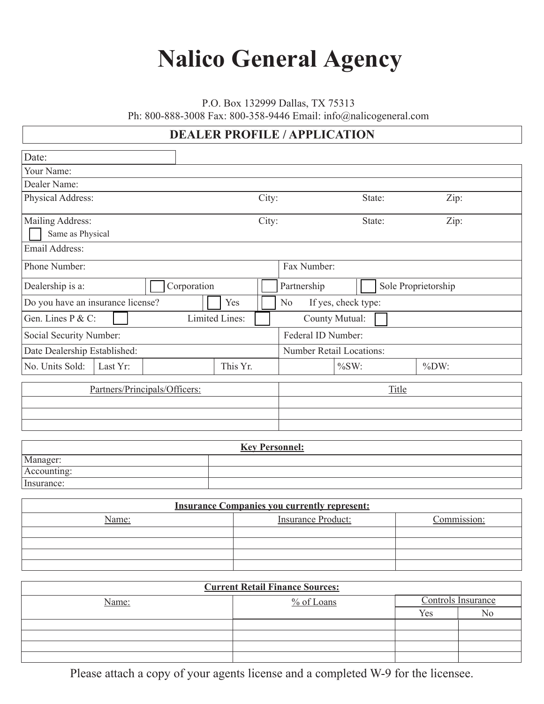## **Nalico General Agency**

P.O. Box 132999 Dallas, TX 75313

Ph: 800-888-3008 Fax: 800-358-9446 Email: info@nalicogeneral.com

## **DEALER PROFILE / APPLICATION**

| Date:                             |                |                |                                 |                     |  |
|-----------------------------------|----------------|----------------|---------------------------------|---------------------|--|
| Your Name:                        |                |                |                                 |                     |  |
| Dealer Name:                      |                |                |                                 |                     |  |
| Physical Address:                 |                | City:          | State:                          | Zip:                |  |
| Mailing Address:                  |                | City:          | State:                          | Zip:                |  |
| Same as Physical                  |                |                |                                 |                     |  |
| Email Address:                    |                |                |                                 |                     |  |
| Phone Number:                     |                | Fax Number:    |                                 |                     |  |
| Dealership is a:                  | Corporation    | Partnership    |                                 | Sole Proprietorship |  |
| Do you have an insurance license? | Yes            | N <sub>o</sub> | If yes, check type:             |                     |  |
| Gen. Lines P & C:                 | Limited Lines: |                | County Mutual:                  |                     |  |
| Social Security Number:           |                |                | Federal ID Number:              |                     |  |
| Date Dealership Established:      |                |                | <b>Number Retail Locations:</b> |                     |  |
| No. Units Sold:<br>Last Yr:       | This Yr.       |                | $\%SW:$                         | $\%DW:$             |  |
| Partners/Principals/Officers:     |                |                | Title                           |                     |  |
|                                   |                |                |                                 |                     |  |
|                                   |                |                |                                 |                     |  |
|                                   |                |                |                                 |                     |  |

| <b>Key Personnel:</b> |  |  |
|-----------------------|--|--|
| Manager:              |  |  |
| Accounting:           |  |  |
| Insurance:            |  |  |

| <b>Insurance Companies you currently represent:</b> |                           |             |  |
|-----------------------------------------------------|---------------------------|-------------|--|
| Name:                                               | <b>Insurance Product:</b> | Commission: |  |
|                                                     |                           |             |  |
|                                                     |                           |             |  |
|                                                     |                           |             |  |
|                                                     |                           |             |  |

| <b>Current Retail Finance Sources:</b> |              |     |                    |  |
|----------------------------------------|--------------|-----|--------------------|--|
| Name:                                  | $%$ of Loans |     | Controls Insurance |  |
|                                        |              | Yes | No                 |  |
|                                        |              |     |                    |  |
|                                        |              |     |                    |  |
|                                        |              |     |                    |  |
|                                        |              |     |                    |  |

Please attach a copy of your agents license and a completed W-9 for the licensee.